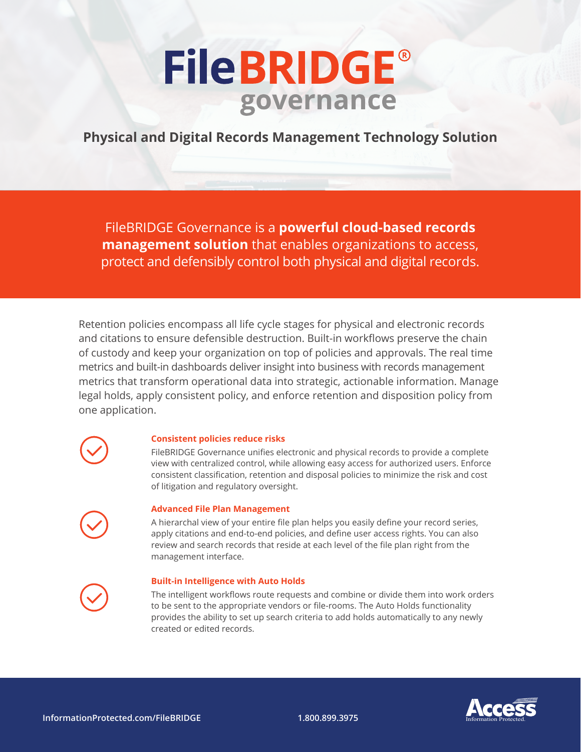# **FileBRIDGE®** governance

**Physical and Digital Records Management Technology Solution**

FileBRIDGE Governance is a **powerful cloud-based records management solution** that enables organizations to access, protect and defensibly control both physical and digital records.

Retention policies encompass all life cycle stages for physical and electronic records and citations to ensure defensible destruction. Built-in workflows preserve the chain of custody and keep your organization on top of policies and approvals. The real time metrics and built-in dashboards deliver insight into business with records management metrics that transform operational data into strategic, actionable information. Manage legal holds, apply consistent policy, and enforce retention and disposition policy from one application.

**Consistent policies reduce risks**

FileBRIDGE Governance unifies electronic and physical records to provide a complete view with centralized control, while allowing easy access for authorized users. Enforce consistent classification, retention and disposal policies to minimize the risk and cost of litigation and regulatory oversight.



### **Advanced File Plan Management**

A hierarchal view of your entire file plan helps you easily define your record series, apply citations and end-to-end policies, and define user access rights. You can also review and search records that reside at each level of the file plan right from the management interface.

### **Built-in Intelligence with Auto Holds**

The intelligent workflows route requests and combine or divide them into work orders to be sent to the appropriate vendors or file-rooms. The Auto Holds functionality provides the ability to set up search criteria to add holds automatically to any newly created or edited records.



**InformationProtected.com/FileBRIDGE 1.800.899.3975** Information Protected.